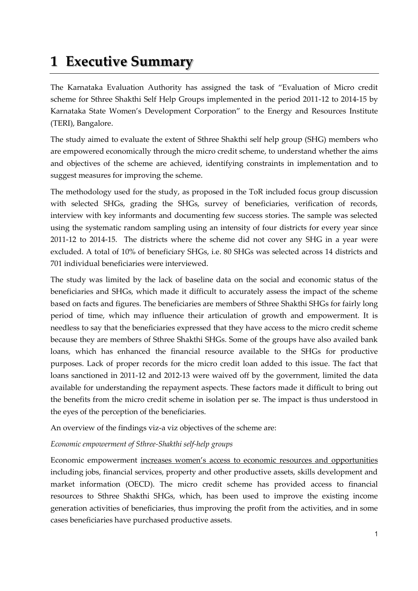## **1 Executive Summary**

The Karnataka Evaluation Authority has assigned the task of 'Evaluation of Micro credit scheme for Sthree Shakthi Self Help Groups implemented in the period 2011-12 to 2014-15 by Karnataka State Women's Development Corporation' to the Energy and Resources Institute (TERI), Bangalore.

The study aimed to evaluate the extent of Sthree Shakthi self help group (SHG) members who are empowered economically through the micro credit scheme, to understand whether the aims and objectives of the scheme are achieved, identifying constraints in implementation and to suggest measures for improving the scheme.

The methodology used for the study, as proposed in the ToR included focus group discussion with selected SHGs, grading the SHGs, survey of beneficiaries, verification of records, interview with key informants and documenting few success stories. The sample was selected using the systematic random sampling using an intensity of four districts for every year since 2011-12 to 2014-15. The districts where the scheme did not cover any SHG in a year were excluded. A total of 10% of beneficiary SHGs, i.e. 80 SHGs was selected across 14 districts and 701 individual beneficiaries were interviewed.

The study was limited by the lack of baseline data on the social and economic status of the beneficiaries and SHGs, which made it difficult to accurately assess the impact of the scheme based on facts and figures. The beneficiaries are members of Sthree Shakthi SHGs for fairly long period of time, which may influence their articulation of growth and empowerment. It is needless to say that the beneficiaries expressed that they have access to the micro credit scheme because they are members of Sthree Shakthi SHGs. Some of the groups have also availed bank loans, which has enhanced the financial resource available to the SHGs for productive purposes. Lack of proper records for the micro credit loan added to this issue. The fact that loans sanctioned in 2011-12 and 2012-13 were waived off by the government, limited the data available for understanding the repayment aspects. These factors made it difficult to bring out the benefits from the micro credit scheme in isolation per se. The impact is thus understood in the eyes of the perception of the beneficiaries.

An overview of the findings viz-a viz objectives of the scheme are:

## *Economic empowerment of Sthree-Shakthi self-help groups*

Economic empowerment increases women's access to economic resources and opportunities including jobs, financial services, property and other productive assets, skills development and market information (OECD). The micro credit scheme has provided access to financial resources to Sthree Shakthi SHGs, which, has been used to improve the existing income generation activities of beneficiaries, thus improving the profit from the activities, and in some cases beneficiaries have purchased productive assets.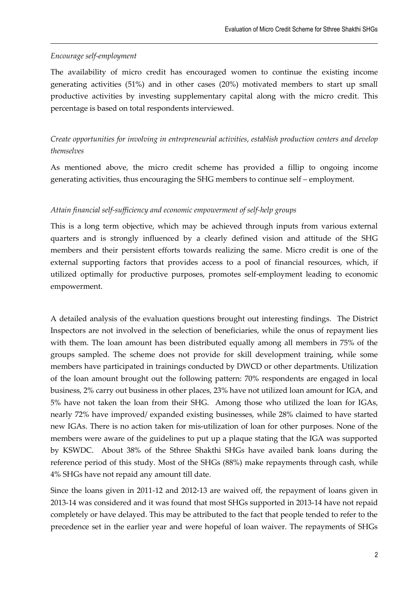## *Encourage self-employment*

The availability of micro credit has encouraged women to continue the existing income generating activities (51%) and in other cases (20%) motivated members to start up small productive activities by investing supplementary capital along with the micro credit. This percentage is based on total respondents interviewed.

*Create opportunities for involving in entrepreneurial activities, establish production centers and develop themselves*

As mentioned above, the micro credit scheme has provided a fillip to ongoing income generating activities, thus encouraging the SHG members to continue self – employment.

## *Attain financial self-sufficiency and economic empowerment of self-help groups*

This is a long term objective, which may be achieved through inputs from various external quarters and is strongly influenced by a clearly defined vision and attitude of the SHG members and their persistent efforts towards realizing the same. Micro credit is one of the external supporting factors that provides access to a pool of financial resources, which, if utilized optimally for productive purposes, promotes self-employment leading to economic empowerment.

A detailed analysis of the evaluation questions brought out interesting findings. The District Inspectors are not involved in the selection of beneficiaries, while the onus of repayment lies with them. The loan amount has been distributed equally among all members in 75% of the groups sampled. The scheme does not provide for skill development training, while some members have participated in trainings conducted by DWCD or other departments. Utilization of the loan amount brought out the following pattern: 70% respondents are engaged in local business, 2% carry out business in other places, 23% have not utilized loan amount for IGA, and 5% have not taken the loan from their SHG. Among those who utilized the loan for IGAs, nearly 72% have improved/ expanded existing businesses, while 28% claimed to have started new IGAs. There is no action taken for mis-utilization of loan for other purposes. None of the members were aware of the guidelines to put up a plaque stating that the IGA was supported by KSWDC. About 38% of the Sthree Shakthi SHGs have availed bank loans during the reference period of this study. Most of the SHGs (88%) make repayments through cash, while 4% SHGs have not repaid any amount till date.

Since the loans given in 2011-12 and 2012-13 are waived off, the repayment of loans given in 2013-14 was considered and it was found that most SHGs supported in 2013-14 have not repaid completely or have delayed. This may be attributed to the fact that people tended to refer to the precedence set in the earlier year and were hopeful of loan waiver. The repayments of SHGs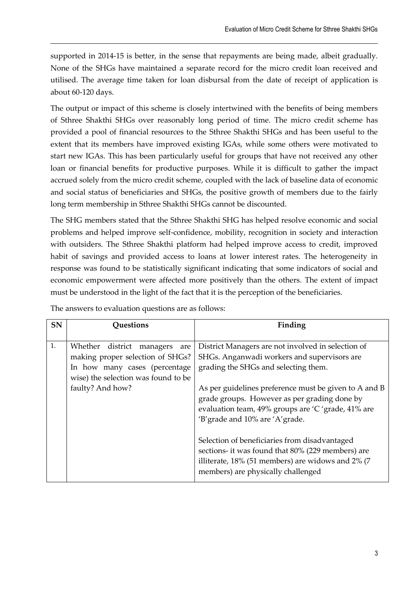supported in 2014-15 is better, in the sense that repayments are being made, albeit gradually. None of the SHGs have maintained a separate record for the micro credit loan received and utilised. The average time taken for loan disbursal from the date of receipt of application is about 60-120 days.

The output or impact of this scheme is closely intertwined with the benefits of being members of Sthree Shakthi SHGs over reasonably long period of time. The micro credit scheme has provided a pool of financial resources to the Sthree Shakthi SHGs and has been useful to the extent that its members have improved existing IGAs, while some others were motivated to start new IGAs. This has been particularly useful for groups that have not received any other loan or financial benefits for productive purposes. While it is difficult to gather the impact accrued solely from the micro credit scheme, coupled with the lack of baseline data of economic and social status of beneficiaries and SHGs, the positive growth of members due to the fairly long term membership in Sthree Shakthi SHGs cannot be discounted.

The SHG members stated that the Sthree Shakthi SHG has helped resolve economic and social problems and helped improve self-confidence, mobility, recognition in society and interaction with outsiders. The Sthree Shakthi platform had helped improve access to credit, improved habit of savings and provided access to loans at lower interest rates. The heterogeneity in response was found to be statistically significant indicating that some indicators of social and economic empowerment were affected more positively than the others. The extent of impact must be understood in the light of the fact that it is the perception of the beneficiaries.

| <b>SN</b> | <b>Questions</b>                                                                                                                                                    | Finding                                                                                                                                                                                                                                                                                                                                                                                       |
|-----------|---------------------------------------------------------------------------------------------------------------------------------------------------------------------|-----------------------------------------------------------------------------------------------------------------------------------------------------------------------------------------------------------------------------------------------------------------------------------------------------------------------------------------------------------------------------------------------|
| 1.        | Whether district<br>managers<br>are<br>making proper selection of SHGs?<br>In how many cases (percentage<br>wise) the selection was found to be<br>faulty? And how? | District Managers are not involved in selection of<br>SHGs. Anganwadi workers and supervisors are<br>grading the SHGs and selecting them.<br>As per guidelines preference must be given to A and B<br>grade groups. However as per grading done by<br>evaluation team, 49% groups are 'C 'grade, 41% are<br>'B' grade and 10% are 'A' grade.<br>Selection of beneficiaries from disadvantaged |
|           |                                                                                                                                                                     | sections- it was found that 80% (229 members) are<br>illiterate, 18% (51 members) are widows and 2% (7<br>members) are physically challenged                                                                                                                                                                                                                                                  |

The answers to evaluation questions are as follows: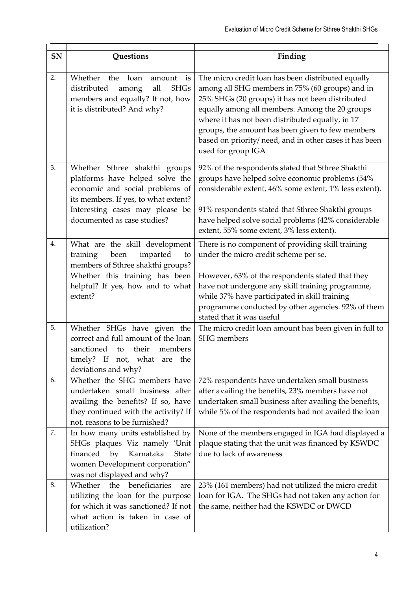| SN | Questions                                                                                                                                                                                                     | Finding                                                                                                                                                                                                                                                                                                                                                                                              |
|----|---------------------------------------------------------------------------------------------------------------------------------------------------------------------------------------------------------------|------------------------------------------------------------------------------------------------------------------------------------------------------------------------------------------------------------------------------------------------------------------------------------------------------------------------------------------------------------------------------------------------------|
| 2. | Whether<br>the loan<br>is<br>amount<br>distributed<br>all<br><b>SHGs</b><br>among<br>members and equally? If not, how<br>it is distributed? And why?                                                          | The micro credit loan has been distributed equally<br>among all SHG members in 75% (60 groups) and in<br>25% SHGs (20 groups) it has not been distributed<br>equally among all members. Among the 20 groups<br>where it has not been distributed equally, in 17<br>groups, the amount has been given to few members<br>based on priority/ need, and in other cases it has been<br>used for group IGA |
| 3. | Whether Sthree shakthi groups<br>platforms have helped solve the<br>economic and social problems of<br>its members. If yes, to what extent?<br>Interesting cases may please be<br>documented as case studies? | 92% of the respondents stated that Sthree Shakthi<br>groups have helped solve economic problems (54%<br>considerable extent, 46% some extent, 1% less extent).<br>91% respondents stated that Sthree Shakthi groups<br>have helped solve social problems (42% considerable<br>extent, 55% some extent, 3% less extent).                                                                              |
| 4. | What are the skill development<br>imparted<br>training<br>been<br>to<br>members of Sthree shakthi groups?<br>Whether this training has been<br>helpful? If yes, how and to what<br>extent?                    | There is no component of providing skill training<br>under the micro credit scheme per se.<br>However, 63% of the respondents stated that they<br>have not undergone any skill training programme,<br>while 37% have participated in skill training<br>programme conducted by other agencies. 92% of them<br>stated that it was useful                                                               |
| 5. | Whether SHGs have given the<br>correct and full amount of the loan<br>sanctioned<br>their<br>members<br>to<br>timely? If not, what are the<br>deviations and why?                                             | The micro credit loan amount has been given in full to<br><b>SHG</b> members                                                                                                                                                                                                                                                                                                                         |
| 6. | Whether the SHG members have<br>undertaken small business after<br>availing the benefits? If so, have<br>they continued with the activity? If<br>not, reasons to be furnished?                                | 72% respondents have undertaken small business<br>after availing the benefits, 23% members have not<br>undertaken small business after availing the benefits,<br>while 5% of the respondents had not availed the loan                                                                                                                                                                                |
| 7. | In how many units established by<br>SHGs plaques Viz namely 'Unit<br>financed by<br>Karnataka<br><b>State</b><br>women Development corporation"<br>was not displayed and why?                                 | None of the members engaged in IGA had displayed a<br>plaque stating that the unit was financed by KSWDC<br>due to lack of awareness                                                                                                                                                                                                                                                                 |
| 8. | Whether the beneficiaries<br>are<br>utilizing the loan for the purpose<br>for which it was sanctioned? If not<br>what action is taken in case of<br>utilization?                                              | 23% (161 members) had not utilized the micro credit<br>loan for IGA. The SHGs had not taken any action for<br>the same, neither had the KSWDC or DWCD                                                                                                                                                                                                                                                |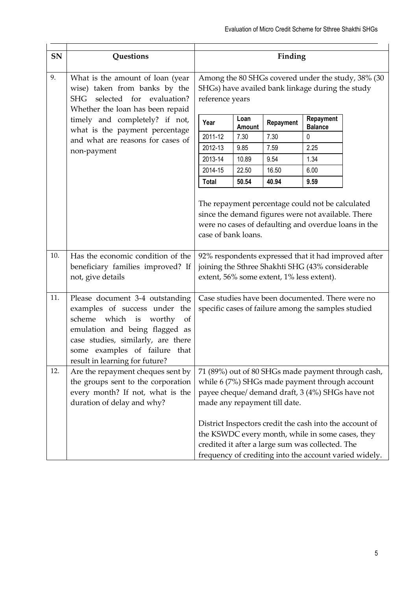| SN  | <b>Questions</b>                                                                                                                                                                                                                                              |                                                | Finding                                                                                                                                                                                                                   |                |                                           |                                                  |                                                      |  |
|-----|---------------------------------------------------------------------------------------------------------------------------------------------------------------------------------------------------------------------------------------------------------------|------------------------------------------------|---------------------------------------------------------------------------------------------------------------------------------------------------------------------------------------------------------------------------|----------------|-------------------------------------------|--------------------------------------------------|------------------------------------------------------|--|
| 9.  | What is the amount of loan (year<br>wise) taken from banks by the<br>SHG selected for evaluation?<br>Whether the loan has been repaid<br>timely and completely? if not,<br>what is the payment percentage<br>and what are reasons for cases of<br>non-payment |                                                | Among the 80 SHGs covered under the study, 38% (30<br>SHGs) have availed bank linkage during the study<br>reference years                                                                                                 |                |                                           |                                                  |                                                      |  |
|     |                                                                                                                                                                                                                                                               |                                                | Year                                                                                                                                                                                                                      | Loan<br>Amount | Repayment                                 | Repayment<br><b>Balance</b>                      |                                                      |  |
|     |                                                                                                                                                                                                                                                               |                                                | 2011-12                                                                                                                                                                                                                   | 7.30           | 7.30                                      | 0                                                |                                                      |  |
|     |                                                                                                                                                                                                                                                               |                                                | 2012-13                                                                                                                                                                                                                   | 9.85           | 7.59                                      | 2.25                                             |                                                      |  |
|     |                                                                                                                                                                                                                                                               |                                                | 2013-14                                                                                                                                                                                                                   | 10.89          | 9.54                                      | 1.34                                             |                                                      |  |
|     |                                                                                                                                                                                                                                                               |                                                | 2014-15                                                                                                                                                                                                                   | 22.50          | 16.50                                     | 6.00                                             |                                                      |  |
|     |                                                                                                                                                                                                                                                               |                                                | <b>Total</b>                                                                                                                                                                                                              | 50.54          | 40.94                                     | 9.59                                             |                                                      |  |
|     |                                                                                                                                                                                                                                                               |                                                | The repayment percentage could not be calculated<br>since the demand figures were not available. There<br>were no cases of defaulting and overdue loans in the<br>case of bank loans.                                     |                |                                           |                                                  |                                                      |  |
| 10. | Has the economic condition of the<br>beneficiary families improved? If<br>not, give details                                                                                                                                                                   |                                                |                                                                                                                                                                                                                           |                | extent, 56% some extent, 1% less extent). | joining the Sthree Shakhti SHG (43% considerable | 92% respondents expressed that it had improved after |  |
| 11. | Please document 3-4 outstanding<br>examples of success under the<br>scheme<br>which is worthy<br>of<br>emulation and being flagged as<br>case studies, similarly, are there<br>some examples of failure that<br>result in learning for future?                |                                                | Case studies have been documented. There were no<br>specific cases of failure among the samples studied                                                                                                                   |                |                                           |                                                  |                                                      |  |
| 12. | Are the repayment cheques sent by                                                                                                                                                                                                                             |                                                |                                                                                                                                                                                                                           |                |                                           |                                                  | 71 (89%) out of 80 SHGs made payment through cash,   |  |
|     | the groups sent to the corporation                                                                                                                                                                                                                            | while 6 (7%) SHGs made payment through account |                                                                                                                                                                                                                           |                |                                           |                                                  |                                                      |  |
|     | every month? If not, what is the                                                                                                                                                                                                                              |                                                | payee cheque/ demand draft, 3 (4%) SHGs have not                                                                                                                                                                          |                |                                           |                                                  |                                                      |  |
|     | duration of delay and why?                                                                                                                                                                                                                                    |                                                | made any repayment till date.                                                                                                                                                                                             |                |                                           |                                                  |                                                      |  |
|     |                                                                                                                                                                                                                                                               |                                                | District Inspectors credit the cash into the account of<br>the KSWDC every month, while in some cases, they<br>credited it after a large sum was collected. The<br>frequency of crediting into the account varied widely. |                |                                           |                                                  |                                                      |  |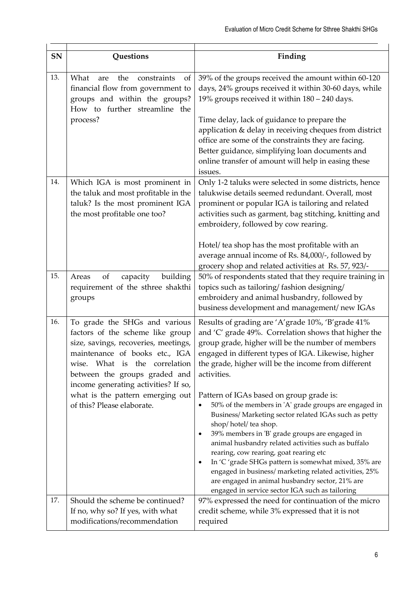| SN  | Questions                                                                                                                                                                                                                                                                                                               |                                                                                                                                                                                                                                                                                                                                                                                                                                                                                                                                                                                                                                                                                                                                                                                                                                                                          |
|-----|-------------------------------------------------------------------------------------------------------------------------------------------------------------------------------------------------------------------------------------------------------------------------------------------------------------------------|--------------------------------------------------------------------------------------------------------------------------------------------------------------------------------------------------------------------------------------------------------------------------------------------------------------------------------------------------------------------------------------------------------------------------------------------------------------------------------------------------------------------------------------------------------------------------------------------------------------------------------------------------------------------------------------------------------------------------------------------------------------------------------------------------------------------------------------------------------------------------|
|     |                                                                                                                                                                                                                                                                                                                         | Finding                                                                                                                                                                                                                                                                                                                                                                                                                                                                                                                                                                                                                                                                                                                                                                                                                                                                  |
| 13. | What<br>constraints<br>the<br>of<br>are<br>financial flow from government to<br>groups and within the groups?<br>How to further streamline the<br>process?                                                                                                                                                              | 39% of the groups received the amount within 60-120<br>days, 24% groups received it within 30-60 days, while<br>19% groups received it within 180 - 240 days.<br>Time delay, lack of guidance to prepare the<br>application & delay in receiving cheques from district<br>office are some of the constraints they are facing.<br>Better guidance, simplifying loan documents and<br>online transfer of amount will help in easing these<br>issues.                                                                                                                                                                                                                                                                                                                                                                                                                       |
| 14. | Which IGA is most prominent in<br>the taluk and most profitable in the<br>taluk? Is the most prominent IGA<br>the most profitable one too?                                                                                                                                                                              | Only 1-2 taluks were selected in some districts, hence<br>talukwise details seemed redundant. Overall, most<br>prominent or popular IGA is tailoring and related<br>activities such as garment, bag stitching, knitting and<br>embroidery, followed by cow rearing.<br>Hotel/ tea shop has the most profitable with an<br>average annual income of Rs. 84,000/-, followed by<br>grocery shop and related activities at Rs. 57, 923/-                                                                                                                                                                                                                                                                                                                                                                                                                                     |
| 15. | of<br>building<br>Areas<br>capacity<br>requirement of the sthree shakthi<br>groups                                                                                                                                                                                                                                      | 50% of respondents stated that they require training in<br>topics such as tailoring/fashion designing/<br>embroidery and animal husbandry, followed by<br>business development and management/new IGAs                                                                                                                                                                                                                                                                                                                                                                                                                                                                                                                                                                                                                                                                   |
| 16. | To grade the SHGs and various<br>factors of the scheme like group<br>size, savings, recoveries, meetings,<br>maintenance of books etc., IGA<br>wise. What is the correlation<br>between the groups graded and<br>income generating activities? If so,<br>what is the pattern emerging out<br>of this? Please elaborate. | Results of grading are 'A' grade 10%, 'B' grade 41%<br>and 'C' grade 49%. Correlation shows that higher the<br>group grade, higher will be the number of members<br>engaged in different types of IGA. Likewise, higher<br>the grade, higher will be the income from different<br>activities.<br>Pattern of IGAs based on group grade is:<br>50% of the members in 'A' grade groups are engaged in<br>Business/ Marketing sector related IGAs such as petty<br>shop/hotel/tea shop.<br>39% members in 'B' grade groups are engaged in<br>٠<br>animal husbandry related activities such as buffalo<br>rearing, cow rearing, goat rearing etc<br>In 'C 'grade SHGs pattern is somewhat mixed, 35% are<br>٠<br>engaged in business/ marketing related activities, 25%<br>are engaged in animal husbandry sector, 21% are<br>engaged in service sector IGA such as tailoring |
| 17. | Should the scheme be continued?<br>If no, why so? If yes, with what<br>modifications/recommendation                                                                                                                                                                                                                     | 97% expressed the need for continuation of the micro<br>credit scheme, while 3% expressed that it is not<br>required                                                                                                                                                                                                                                                                                                                                                                                                                                                                                                                                                                                                                                                                                                                                                     |